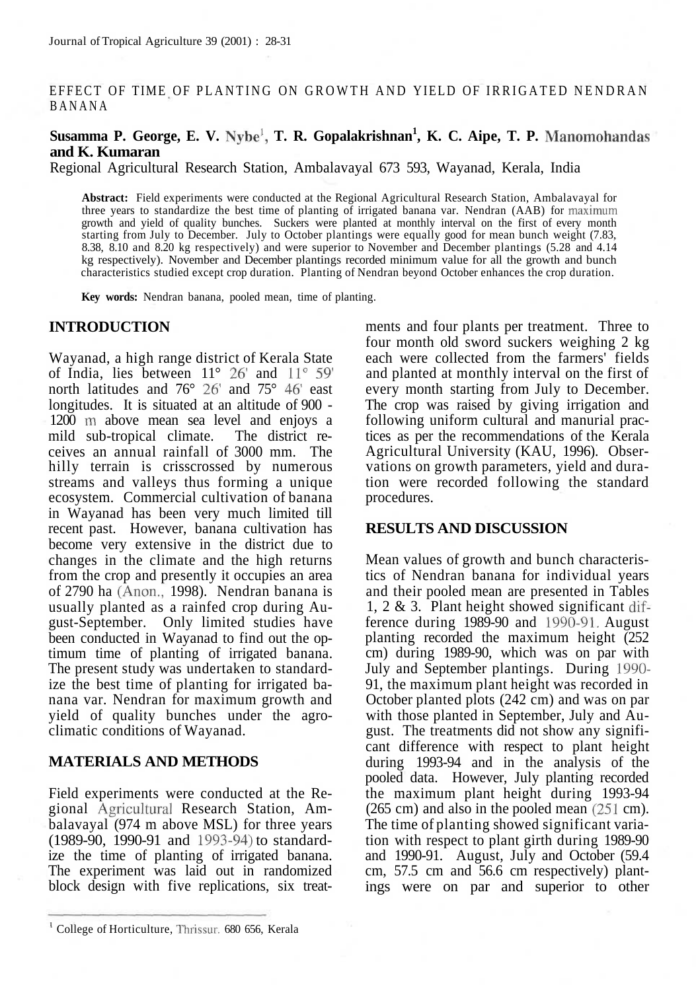### EFFECT OF TIME OF PLANTING ON GROWTH AND YIELD OF IRRIGATED NENDRAN BANAN A

# **Susamma P. George, E. V. Nybe<sup>1</sup> , T. R. Gopalakrishnan<sup>1</sup> , K. C. Aipe, T. P. Manomohandas and K. Kumaran**

Regional Agricultural Research Station, Ambalavayal 673 593, Wayanad, Kerala, India

**Abstract:** Field experiments were conducted at the Regional Agricultural Research Station, Ambalavayal for three years to standardize the best time of planting of irrigated banana var. Nendran (AAB) for maximum growth and yield of quality bunches. Suckers were planted at monthly interval on the first of every month starting from July to December. July to October plantings were equally good for mean bunch weight (7.83, 8.38, 8.10 and 8.20 kg respectively) and were superior to November and December plantings (5.28 and 4.14 kg respectively). November and December plantings recorded minimum value for all the growth and bunch characteristics studied except crop duration. Planting of Nendran beyond October enhances the crop duration.

**Key words:** Nendran banana, pooled mean, time of planting.

#### **INTRODUCTION**

Wayanad, a high range district of Kerala State of India, lies between 11° 26' and 11° 59' north latitudes and 76° 26' and 75° 46' east longitudes. It is situated at an altitude of 900 - 1200 m above mean sea level and enjoys a mild sub-tropical climate. The district receives an annual rainfall of 3000 mm. The hilly terrain is crisscrossed by numerous streams and valleys thus forming a unique ecosystem. Commercial cultivation of banana in Wayanad has been very much limited till recent past. However, banana cultivation has become very extensive in the district due to changes in the climate and the high returns from the crop and presently it occupies an area of 2790 ha (Anon., 1998). Nendran banana is usually planted as a rainfed crop during August-September. Only limited studies have been conducted in Wayanad to find out the optimum time of planting of irrigated banana. The present study was undertaken to standardize the best time of planting for irrigated banana var. Nendran for maximum growth and yield of quality bunches under the agroclimatic conditions of Wayanad.

## **MATERIALS AND METHODS**

Field experiments were conducted at the Regional Agricultural Research Station, Ambalavayal (974 m above MSL) for three years (1989-90, 1990-91 and 1993-94) to standardize the time of planting of irrigated banana. The experiment was laid out in randomized block design with five replications, six treatments and four plants per treatment. Three to four month old sword suckers weighing 2 kg each were collected from the farmers' fields and planted at monthly interval on the first of every month starting from July to December. The crop was raised by giving irrigation and following uniform cultural and manurial practices as per the recommendations of the Kerala Agricultural University (KAU, 1996). Observations on growth parameters, yield and duration were recorded following the standard procedures.

## **RESULTS AND DISCUSSION**

Mean values of growth and bunch characteristics of Nendran banana for individual years and their pooled mean are presented in Tables 1, 2 & 3. Plant height showed significant difference during 1989-90 and 1990-91. August planting recorded the maximum height (252 cm) during 1989-90, which was on par with July and September plantings. During 1990- 91, the maximum plant height was recorded in October planted plots (242 cm) and was on par with those planted in September, July and August. The treatments did not show any significant difference with respect to plant height during 1993-94 and in the analysis of the pooled data. However, July planting recorded the maximum plant height during 1993-94 (265 cm) and also in the pooled mean (251 cm). The time of planting showed significant variation with respect to plant girth during 1989-90 and 1990-91. August, July and October (59.4 cm, 57.5 cm and 56.6 cm respectively) plantings were on par and superior to other

<sup>&</sup>lt;sup>1</sup> College of Horticulture, Thrissur. 680 656, Kerala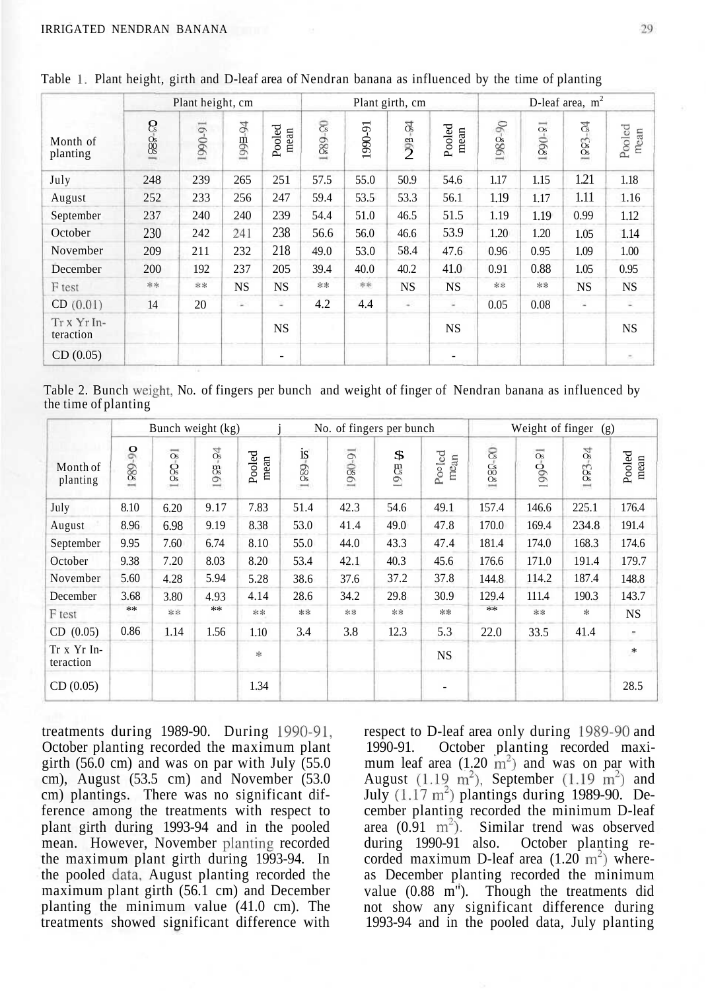|                         | Plant height, cm                 |         |                          |                | Plant girth, cm |         |                            |                | D-leaf area, m <sup>2</sup> |             |                           |                |
|-------------------------|----------------------------------|---------|--------------------------|----------------|-----------------|---------|----------------------------|----------------|-----------------------------|-------------|---------------------------|----------------|
| Month of<br>planting    | $\mathcal{E}_{\mathrm{s}}$<br>88 | 1990-91 | -94<br>$199\overline{a}$ | Pooled<br>mean | 889-80          | 1990-91 | $\Omega$<br>$\frac{en}{2}$ | Pooled<br>mean | $-90$<br>1989               | $9 - 9 = 1$ | $\vec{c}_{\rm s}$<br>100s | Pooled<br>mean |
| July                    | 248                              | 239     | 265                      | 251            | 57.5            | 55.0    | 50.9                       | 54.6           | 1.17                        | 1.15        | 1.21                      | 1.18           |
| August                  | 252                              | 233     | 256                      | 247            | 59.4            | 53.5    | 53.3                       | 56.1           | 1.19                        | 1.17        | 1.11                      | 1.16           |
| September               | 237                              | 240     | 240                      | 239            | 54.4            | 51.0    | 46.5                       | 51.5           | 1.19                        | 1.19        | 0.99                      | 1.12           |
| October                 | 230                              | 242     | 241                      | 238            | 56.6            | 56.0    | 46.6                       | 53.9           | 1.20                        | 1.20        | 1.05                      | 1.14           |
| November                | 209                              | 211     | 232                      | 218            | 49.0            | 53.0    | 58.4                       | 47.6           | 0.96                        | 0.95        | 1.09                      | 1.00           |
| December                | 200                              | 192     | 237                      | 205            | 39.4            | 40.0    | 40.2                       | 41.0           | 0.91                        | 0.88        | 1.05                      | 0.95           |
| F test                  | **                               | **      | <b>NS</b>                | <b>NS</b>      | **              | 涂浆      | <b>NS</b>                  | <b>NS</b>      | **                          | **          | <b>NS</b>                 | <b>NS</b>      |
| CD(0.01)                | 14                               | 20      | $\sim$                   | ÷              | 4.2             | 4.4     | ÷                          | ×              | 0.05                        | 0.08        | ×                         | 호              |
| Trx Yr In-<br>teraction |                                  |         |                          | <b>NS</b>      |                 |         |                            | <b>NS</b>      |                             |             |                           | <b>NS</b>      |
| CD(0.05)                |                                  |         |                          |                |                 |         |                            |                |                             |             |                           |                |

Table 1. Plant height, girth and D-leaf area of Nendran banana as influenced by the time of planting

Table 2. Bunch weight, No. of fingers per bunch and weight of finger of Nendran banana as influenced by the time of planting

|                          |         | Bunch weight (kg)                                           |                      |                |                                |         | No. of fingers per bunch |                            | Weight of finger<br>(g) |                                                            |                                   |                |
|--------------------------|---------|-------------------------------------------------------------|----------------------|----------------|--------------------------------|---------|--------------------------|----------------------------|-------------------------|------------------------------------------------------------|-----------------------------------|----------------|
| Month of<br>planting     | 06-6881 | $\overline{\phantom{a}}$<br><b>Os</b><br>$\frac{6}{5}$<br>≕ | $\frac{0}{4}$<br>198 | Pooled<br>mean | $rac{1S}{OS}$<br>$\rightarrow$ | 1980-91 | \$<br>$\mathbb{S}^n$     | Pooled<br>me <sub>an</sub> | <b>1980-00</b>          | $\overline{\phantom{a}}$<br>$\mathbf{O}_\mathrm{s}$<br>990 | $\frac{5}{6}$<br>100 <sup>2</sup> | Pooled<br>mean |
| July                     | 8.10    | 6.20                                                        | 9.17                 | 7.83           | 51.4                           | 42.3    | 54.6                     | 49.1                       | 157.4                   | 146.6                                                      | 225.1                             | 176.4          |
| August                   | 8.96    | 6.98                                                        | 9.19                 | 8.38           | 53.0                           | 41.4    | 49.0                     | 47.8                       | 170.0                   | 169.4                                                      | 234.8                             | 191.4          |
| September                | 9.95    | 7.60                                                        | 6.74                 | 8.10           | 55.0                           | 44.0    | 43.3                     | 47.4                       | 181.4                   | 174.0                                                      | 168.3                             | 174.6          |
| October                  | 9.38    | 7.20                                                        | 8.03                 | 8.20           | 53.4                           | 42.1    | 40.3                     | 45.6                       | 176.6                   | 171.0                                                      | 191.4                             | 179.7          |
| November                 | 5.60    | 4.28                                                        | 5.94                 | 5.28           | 38.6                           | 37.6    | 37.2                     | 37.8                       | 144.8                   | 114.2                                                      | 187.4                             | 148.8          |
| December                 | 3.68    | 3.80                                                        | 4.93                 | 4.14           | 28.6                           | 34.2    | 29.8                     | 30.9                       | 129.4                   | 111.4                                                      | 190.3                             | 143.7          |
| F test                   | **      | **                                                          | **                   | **             | **                             | **      | **                       | **                         | **                      | **                                                         | *                                 | <b>NS</b>      |
| CD (0.05)                | 0.86    | 1.14                                                        | 1.56                 | 1.10           | 3.4                            | 3.8     | 12.3                     | 5.3                        | 22.0                    | 33.5                                                       | 41.4                              |                |
| Tr x Yr In-<br>teraction |         |                                                             |                      | $\frac{1}{2}$  |                                |         |                          | <b>NS</b>                  |                         |                                                            |                                   | $\ast$         |
| CD(0.05)                 |         |                                                             |                      | 1.34           |                                |         |                          |                            |                         |                                                            |                                   | 28.5           |

treatments during 1989-90. During 1990-91, October planting recorded the maximum plant girth  $(56.0 \text{ cm})$  and was on par with July  $(55.0 \text{ cm})$ cm), August (53.5 cm) and November (53.0 cm) plantings. There was no significant difference among the treatments with respect to plant girth during 1993-94 and in the pooled mean. However, November planting recorded the maximum plant girth during 1993-94. In the pooled data, August planting recorded the maximum plant girth (56.1 cm) and December planting the minimum value  $(41.0 \text{ cm})$ . The treatments showed significant difference with

respect to D-leaf area only during 1989-90 and 1990-91. October planting recorded maximum leaf area  $(1.20 \text{ m}^2)$  and was on par with August  $(1.19 \text{ m}^2)$ , September  $(1.19 \text{ m}^2)$  and July  $(1.17 \text{ m}^2)$  plantings during 1989-90. December planting recorded the minimum D-leaf area  $(0.91 \text{ m}^2)$ . Similar trend was observed during 1990-91 also. October planting recorded maximum D-leaf area  $(1.20 \text{ m}^2)$  whereas December planting recorded the minimum value (0.88 m<sup>"</sup>). Though the treatments did not show any significant difference during 1993-94 and in the pooled data, July planting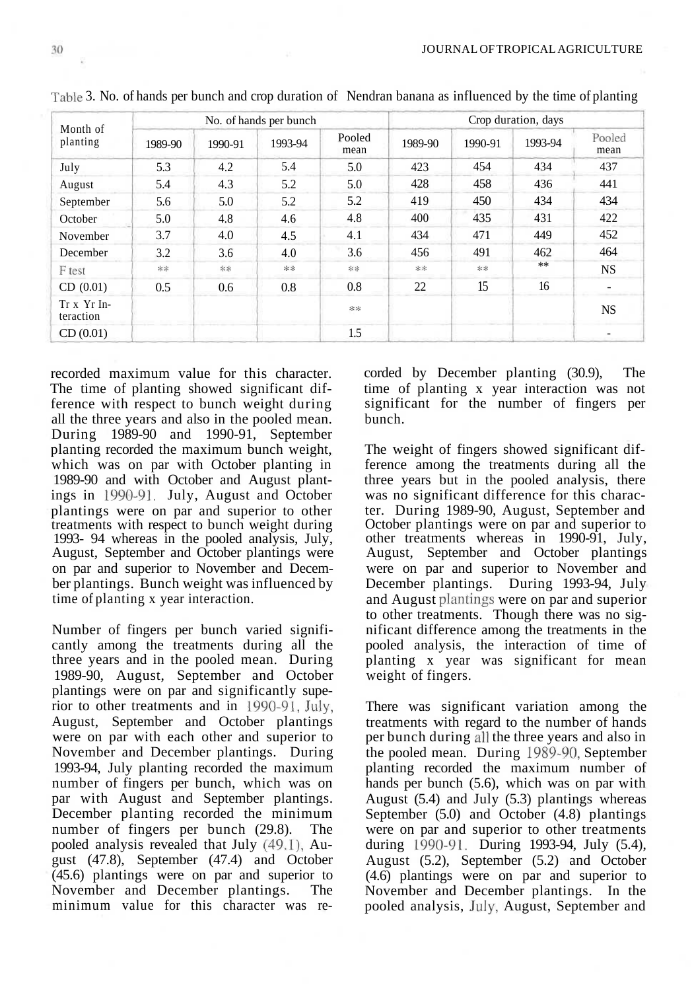| Month of<br>planting     |         |         | No. of hands per bunch |                | Crop duration, days |         |         |                |  |  |
|--------------------------|---------|---------|------------------------|----------------|---------------------|---------|---------|----------------|--|--|
|                          | 1989-90 | 1990-91 | 1993-94                | Pooled<br>mean | 1989-90             | 1990-91 | 1993-94 | Pooled<br>mean |  |  |
| July                     | 5.3     | 4.2     | 5.4                    | 5.0            | 423                 | 454     | 434     | 437            |  |  |
| August                   | 5.4     | 4.3     | 5.2                    | 5.0            | 428                 | 458     | 436     | 441            |  |  |
| September                | 5.6     | 5.0     | 5.2                    | 5.2            | 419                 | 450     | 434     | 434            |  |  |
| October                  | 5.0     | 4.8     | 4.6                    | 4.8            | 400                 | 435     | 431     | 422            |  |  |
| November                 | 3.7     | 4.0     | 4.5                    | 4.1            | 434                 | 471     | 449     | 452            |  |  |
| December                 | 3.2     | 3.6     | 4.0                    | 3.6            | 456                 | 491     | 462     | 464            |  |  |
| F test                   | **      | **      | $**$                   | **             | **                  | **      | **      | NS.            |  |  |
| CD(0.01)                 | 0.5     | 0.6     | 0.8                    | 0.8            | 22                  | 15      | 16      | -              |  |  |
| Tr x Yr In-<br>teraction |         |         |                        | **             |                     |         |         | <b>NS</b>      |  |  |
| CD(0.01)                 |         |         |                        | 1.5            |                     |         |         |                |  |  |

Table 3. No. of hands per bunch and crop duration of Nendran banana as influenced by the time of planting

recorded maximum value for this character. The time of planting showed significant difference with respect to bunch weight during all the three years and also in the pooled mean. During 1989-90 and 1990-91, September planting recorded the maximum bunch weight, which was on par with October planting in 1989-90 and with October and August plantings in 1990-91. July, August and October plantings were on par and superior to other treatments with respect to bunch weight during 1993- 94 whereas in the pooled analysis, July, August, September and October plantings were on par and superior to November and December plantings. Bunch weight was influenced by time of planting x year interaction.

Number of fingers per bunch varied significantly among the treatments during all the three years and in the pooled mean. During 1989-90, August, September and October plantings were on par and significantly superior to other treatments and in 1990-91, July, August, September and October plantings were on par with each other and superior to November and December plantings. During 1993-94, July planting recorded the maximum number of fingers per bunch, which was on par with August and September plantings. December planting recorded the minimum number of fingers per bunch (29.8). The pooled analysis revealed that July (49.1), August (47.8), September (47.4) and October (45.6) plantings were on par and superior to November and December plantings. The minimum value for this character was recorded by December planting (30.9), The time of planting x year interaction was not significant for the number of fingers per bunch.

The weight of fingers showed significant difference among the treatments during all the three years but in the pooled analysis, there was no significant difference for this character. During 1989-90, August, September and October plantings were on par and superior to other treatments whereas in 1990-91, July, August, September and October plantings were on par and superior to November and December plantings. During 1993-94, July and August plantings were on par and superior to other treatments. Though there was no significant difference among the treatments in the pooled analysis, the interaction of time of planting x year was significant for mean weight of fingers.

There was significant variation among the treatments with regard to the number of hands per bunch during all the three years and also in the pooled mean. During 1989-90, September planting recorded the maximum number of hands per bunch (5.6), which was on par with August (5.4) and July (5.3) plantings whereas September (5.0) and October (4.8) plantings were on par and superior to other treatments during 1990-91. During 1993-94, July (5.4), August (5.2), September (5.2) and October (4.6) plantings were on par and superior to November and December plantings. In the pooled analysis, July, August, September and